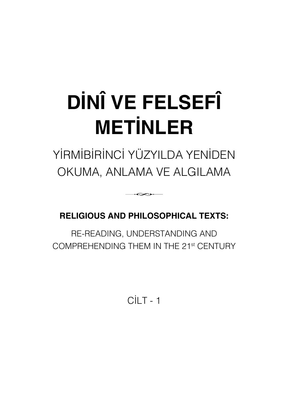# **DİNÎ VE FELSEFÎ METİNLER**

# YİRMİBİRİNCİ YÜZYILDA YENİDEN OKUMA, ANLAMA VE ALGILAMA

# **RELIGIOUS AND PHILOSOPHICAL TEXTS:**

∽

RE-READING, UNDERSTANDING AND COMPREHENDING THEM IN THE 21st CENTURY

 $C<sup>II</sup>$  T - 1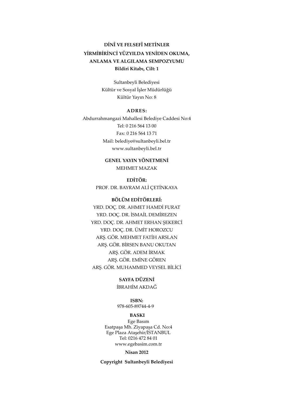### **DİNÎ VE FELSEFÎ METİNLER YİRMİBİRİNCİ YÜZYILDA YENİDEN OKUMA, ANLAMA VE ALGILAMA SEMPOZYUMU Bildiri Kitabı, Cilt: 1**

Sultanbeyli Belediyesi Kültür ve Sosyal İşler Müdürlüğü Kültür Yayın No: 8

#### **ADRES:**

Abdurrahmangazi Mahallesi Belediye Caddesi No:4 Tel: 0 216 564 13 00 Fax: 0 216 564 13 71 Mail: belediye@sultanbeyli.bel.tr www.sultanbeyli.bel.tr

> **GENEL YAYIN YÖNETMENİ** MEHMET MAZAK

**EDİTÖR:** PROF. DR. BAYRAM ALİ ÇETİNKAYA

#### **BÖLÜM EDİTÖRLERİ:**

YRD. DOÇ. DR. AHMET HAMDİ FURAT YRD. DOÇ. DR. İSMAİL DEMİREZEN YRD. DOÇ. DR. AHMET ERHAN ŞEKERCİ YRD. DOÇ. DR. ÜMİT HOROZCU ARŞ. GÖR. MEHMET FATİH ARSLAN ARŞ. GÖR. BİRSEN BANU OKUTAN ARŞ. GÖR. ADEM İRMAK ARŞ. GÖR. EMİNE GÖREN ARŞ. GÖR. MUHAMMED VEYSEL BİLİCİ

> **SAYFA DÜZENİ** İBRAHİM AKDAĞ

978-605-89744-4-9 **ISBN:**

#### **BASKI**

Ege Basım Esatpaşa Mh. Ziyapaşa Cd. No:4 Ege Plaza Ataşehir/İSTANBUL Tel: 0216 472 84 01 www.egebasim.com.tr

#### **Nisan 2012**

**Copyright Sultanbeyli Belediyesi**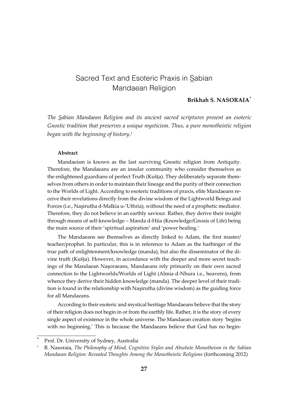# Sacred Text and Esoteric Praxis in Sabian Mandaean Religion

#### **Brikhah S. NASORAIA**\*

*The Sabian Mandaean Religion and its ancient sacred scriptures present an esoteric Gnostic tradition that preserves a unique mysticism. Thus, a pure monotheistic religion began with the beginning of history*. 1

#### **Abstract**

Mandaeism is known as the last surviving Gnostic religion from Antiquity. Therefore, the Mandaeans are an insular community who consider themselves as the enlightened guardians of perfect Truth (Kušța). They deliberately separate themselves from others in order to maintain their lineage and the purity of their connection to the Worlds of Light. According to esoteric traditions of praxis, elite Mandaeans receive their revelations directly from the divine wisdom of the Lightworld Beings and Forces (i.e., Nașirutha d-Malkia u-'Uthria), without the need of a prophetic mediator. Therefore, they do not believe in an earthly saviour. Rather, they derive their insight through means of self-knowledge – Manda d-Hiia (Knowledge/Gnosis of Life) being the main source of their 'spiritual aspiration' and 'power healing.'

The Mandaeans see themselves as directly linked to Adam, the first master/ teacher/prophet. In particular, this is in reference to Adam as the harbinger of the true path of enlightenment/knowledge (manda), but also the disseminator of the divine truth (Kušta). However, in accordance with the deeper and more secret teachings of the Mandaean Nasoraeans, Mandaeans rely primarily on their own sacred connection to the Lightworlds/Worlds of Light (Almia d-Nhura i.e., heavens), from whence they derive their hidden knowledge (manda). The deeper level of their tradition is found in the relationship with Nașirutha (divine wisdom) as the guiding force for all Mandaeans.

According to their esoteric and mystical heritage Mandaeans believe that the story of their religion does not begin in or from the earthly life. Rather, it is the story of every single aspect of existence in the whole universe. The Mandaean creation story 'begins with no beginning.' This is because the Mandaeans believe that God has no begin-

Prof. Dr. University of Sydney, Australia

<sup>1</sup>B. Nasoraia, *The Philosophy of Mind, Cognitive Styles and Absolute Monotheism in the Sabian Mandaean Religion: Revealed Thoughts Among the Monotheistic Religions* (forthcoming 2012)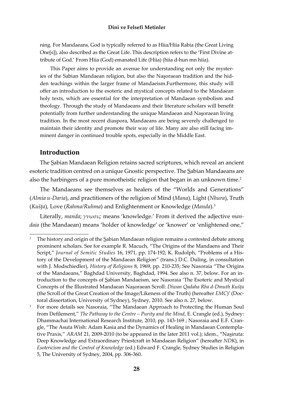ning. For Mandaeans, God is typically referred to as Hiia/Hiia Rabia (the Great Living One[s]), also described as the Great Life. This description refers to the 'First Divine attribute of God.' From Hiia (God) emanated Life (Hiia) (hiia d-hun mn hiia).

This Paper aims to provide an avenue for understanding not only the mysteries of the Sabian Mandaean religion, but also the Nasoraean tradition and the hidden teachings within the larger frame of Mandaeism.Furthermore, this study will offer an introduction to the esoteric and mystical concepts related to the Mandaean holy texts, which are essential for the interpretation of Mandaean symbolism and theology. Through the study of Mandaeans and their literature scholars will benefit potentially from further understanding the unique Mandaean and Nasoraean living tradition. In the most recent diaspora, Mandaeans are being severely challenged to maintain their identity and promote their way of life. Many are also still facing imminent danger in continued trouble spots, especially in the Middle East.

#### **Introduction**

The Sabian Mandaean Religion retains sacred scriptures, which reveal an ancient esoteric tradition centred on a unique Gnostic perspective. The Sabian Mandaeans are also the harbingers of a pure monotheistic religion that began in an unknown time.<sup>2</sup>

The Mandaeans see themselves as healers of the "Worlds and Generations" (Almia u-Daria), and practitioners of the religion of Mind (Mana), Light (Nhura), Truth (Kušța), Love (Rahma/Ruhma) and Enlightenment or Knowledge (Manda).<sup>3</sup>

Literally, manda;  $\gamma\nu\omega\sigma\iota\varsigma$  means 'knowledge.' From it derived the adjective mandaia (the Mandaean) means 'holder of knowledge' or 'knower' or 'enlightened one,"

The history and origin of the Sabian Mandaean religion remains a contested debate among prominent scholars. See for example R. Macuch, "The Origins of the Mandaens and Their Script," Journal of Semitic Studies 16, 1971, pp. 174-192; K. Rudolph, "Problems of a History of the Development of the Mandaean Religion" (trans.) D.C. Duling, in consultation with J. Modschiedler), History of Religions 8, 1969, pp. 210-235; See Nasoraia "The Origins of the Mandaeans," Baghdad University, Baghdad, 1994. See also n. 37, below. For an introduction to the concepts of Sabian Mandaeism, see Nasoraia 'The Esoteric and Mystical Concepts of the Illustrated Mandaean Nasoraean Scroll: Diwan Qadaha Rba d-Dmuth Kušta (the Scroll of the Great Creation of the Image/Likeness of the Truth) (hereafter EMC)' (Doctoral dissertation, University of Sydney), Sydney, 2010. See also n. 27, below.

 $\overline{\mathbf{3}}$ For more details see Nasoraia, "The Mandaean Approach to Protecting the Human Soul from Defilement," The Pathway to the Centre – Purity and the Mind, E. Crangle (ed.), Sydney: Dhammachai International Research Institute, 2010, pp. 143-169; Nasoraia and E.F. Crangle, "The Asuta Wish: Adam Kasia and the Dynamics of Healing in Mandaean Contemplative Praxis," ARAM 21, 2009-2010 (to be appeared in the later 2011 vol.); idem., "Nasiruta: Deep Knowledge and Extraordinary Priestcraft in Mandaean Religion" (hereafter NDK), in Esotericism and the Control of Knowledge (ed.) Edward F. Crangle, Sydney Studies in Religion 5, The University of Sydney, 2004, pp. 306-360.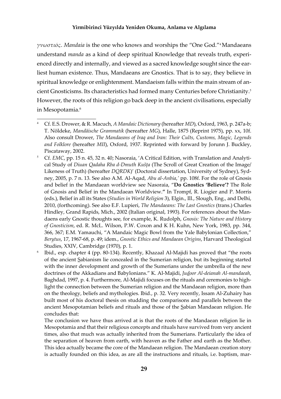*·ΑΝΗΘϱΖ*. *Mandaia* is the one who knows and worships the "One God."<sup>4</sup>Mandaeans understand *manda* as a kind of deep spiritual Knowledge that reveals truth, experienced directly and internally, and viewed as a sacred knowledge sought since the earliest human existence. Thus, Mandaeans are Gnostics. That is to say, they believe in spiritual knowledge or enlightenment. Mandaeism falls within the main stream of ancient Gnosticisms. Its characteristics had formed many Centuries before Christianity.<sup>5</sup> However, the roots of this religion go back deep in the ancient civilisations, especially in Mesopotamia.<sup>6</sup>

Cf. E.S. Drower, & R. Macuch, *A Mandaic Dictionary* (hereafter *MD*), Oxford, 1963, p. 247a-b; T. Nöldeke, *Mandäische Grammatik* (hereaĞer *MG*), Halle, 1875 (Reprint 1975), pp. xx, 10f. Also consult Drower, *The Mandaeans of Iraq and Iran: Their Cults, Customs, Magic, Legends*  and Folklore (hereafter *MII*), Oxford, 1937. Reprinted with forward by Jorunn J. Buckley, Piscataway, 2002.

<sup>5</sup> Cf. *EMC*, pp. 15 n. 45, 32 n. 40; Nasoraia, 'A Critical Edition, with Translation and Analytical Study of *Diuan Qadaha Rba d-Dmuth Kušôa* (The Scroll of Great Creation of the Image/ Likeness of Truth) (hereafter *DQRDK*)' (Doctoral dissertation, University of Sydney), Sydney, 2005, p. 7 n. 13. See also A.M. Al-Aqad, *Abu al-Anbia*,*'* pp. 108f. For the role of Gnosis and belief in the Mandaean worldview see Nasoraia, "**Do Gnostics 'Believe'?** The Role of Gnosis and Belief in the Mandaean Worldview.**"** In Trompf, R. Liogier and P. Morris (eds.), Belief in all its States (*Studies in World Religion* 3), Elgin., Ill., Slough, Eng., and Delhi, 2010, (forthcoming). See also E.F. Lupieri, *The Mandaeans: The Last Gnostics* (trans.) Charles Hindley, Grand Rapids, Mich., 2002 (Italian original, 1993). For references about the Mandaens early Gnostic thoughts see, for example, K. Rudolph, *Gnosis: The Nature and History of Gnosticism*, ed. R. McL. Wilson, P.W. Coxon and K H. Kuhn, New York, 1983, pp. 344, 366, 367; E.M. Yamauchi, "A Mandaic Magic Bowl from the Yale Babylonian Collection," *Berytus*, 17, 1967-68, p. 49; idem., *Gnostic Ethics and Mandaean Origins*, Harvard Theological Studies, XXIV, Cambridge (1970), p. 1.

Ibid., esp. chapter 4 (pp. 80-134). Recently, Khazaal Al-Majidi has proved that "the roots of the ancient Sabianism lie concealed in the Sumerian religion, but its beginning started with the inner development and growth of the Sumerians under the umbrella of the new doctrines of the Akkadians and Babylonians." K. Al-Majidi, *Judoor Al-deianah Al-mandaeah*, Baghdad, 1997, p. 4. Furthermore, Al-Majidi focuses on the rituals and ceremonies to highlight the connection between the Sumerian religion and the Mandaean religion, more than on the theology, beliefs and mythologies. Ibid., p. 32. Very recently, Issam Al-Zuhairy has built most of his doctoral thesis on studding the comparisons and parallels between the ancient Mesopotamian beliefs and rituals and those of the Sabian Mandaean religion. He concludes that:

The conclusion we have thus arrived at is that the roots of the Mandaean religion lie in Mesopotamia and that their religious concepts and rituals have survived from very ancient times, also that much was actually inherited from the Sumerians. Particularly the idea of the separation of heaven from earth, with heaven as the Father and earth as the Mother. This idea actually became the core of the Mandaean religion. The Mandaean creation story is actually founded on this idea, as are all the instructions and rituals, i.e. baptism, mar-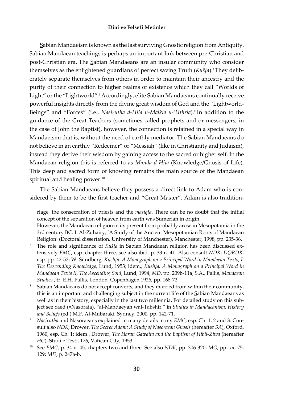Sabian Mandaeism is known as the last surviving Gnostic religion from Antiquity. Sabian Mandaean teachings is perhaps an important link between pre-Christian and post-Christian era. The Sabian Mandaeans are an insular community who consider themselves as the enlightened guardians of perfect saving Truth (*Kušta*).<sup>7</sup> They deliberately separate themselves from others in order to maintain their ancestry and the purity of their connection to higher realms of existence which they call "Worlds of Light" or the "Lightworld".<sup>8</sup> Accordingly, elite Sabian Mandaeans continually receive powerful insights directly from the divine great wisdom of God and the "Lightworld-Beings" and "Forces" (i.e., *Nasirutha d-Hiia u-Malkia u-'Uthria*).<sup>9</sup> In addition to the guidance of the Great Teachers (sometimes called prophets and or messengers, in the case of John the Baptist), however, the connection is retained in a special way in Mandaeism; that is, without the need of earthly mediator. The Sabian Mandaeans do not believe in an earthly "Redeemer" or "Messiah" (like in Christianity and Judaism), instead they derive their wisdom by gaining access to the sacred or higher self. In the Mandaean religion this is referred to as *Manda d-Hiia* (Knowledge/Gnosis of Life). This deep and sacred form of knowing remains the main source of the Mandaean spiritual and healing power.<sup>10</sup>

The Sabian Mandaeans believe they possess a direct link to Adam who is considered by them to be the first teacher and "Great Master". Adam is also tradition-

riage, the consecration of priests and the *masiqta*. There can be no doubt that the initial concept of the separation of heaven from earth was Sumerian in origin.

However, the Mandaean religion in its present form probably arose in Mesopotamia in the 3rd century BC. I. Al-Zuhairy, 'A Study of the Ancient Mesopotamian Roots of Mandaean Religion' (Doctoral dissertation, University of Manchester), Manchester, 1998, pp. 235-36.

The role and significance of *Kušţa* in Sabian Mandaean religion has been discussed extensively *EMC*, esp. chapter three, see also ibid. p. 33 n. 41. Also consult *NDK*; *DQRDK*, esp. pp. 42-52; W. Sundberg, *Kushôa: A Monograph on a Principal Word in Mandaean Texts*, *I: The Descending Knowledge*, Lund, 1953; idem., *Kushôa: A Monograph on a Principal Word in Mandaean Texts II, The Ascending Soul*, Lund, 1994; *MD*, pp. 209b-11a; S.A., Pallis, *Mandaean Studies* , tr. E.H. Pallis, London, Copenhagen 1926, pp. 168-72.

<sup>8</sup>Sabian Mandaeans do not accept converts; and they married from within their community, this is an important and challenging subject in the current life of the Sabian Mandaeans as well as in their history, especially in the last two millennia. For detailed study on this subject see Saed (=Nasoraia), "al-Mandaeyah wal-Tabshir," in *Studies in Mandaeanism: History and Beliefs* (ed.) M.F. Al-Mubaraki, Sydney, 2000, pp. 142-71.

<sup>9</sup> *Nasirutha* and Nasoraeans explained in many details in my *EMC*, esp. Ch. 1, 2 and 3. Consult also *NDK*; Drower, *The Secret Adam: A Study of Nasoraean Gnosis* (hereafter *SA*), Oxford, 1960, esp. Ch. 1; idem., Drower, *The Haran Gawaita and the Baptism of Hibil-Ziwa* (hereafter *HG*), Studi e Testi, 176, Vatican City, 1953.

<sup>&</sup>lt;sup>10</sup> See *EMC*, p. 34 n. 45, chapters two and three. See also *NDK*, pp. 306-320; *MG*, pp. xx, 75, 129; *MD*, p. 247a-b.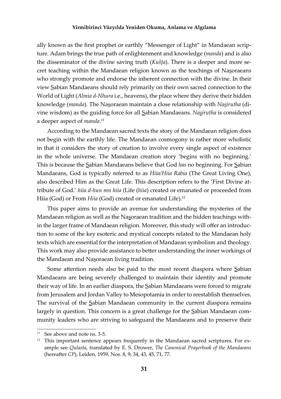ally known as the first prophet or earthly "Messenger of Light" in Mandaean scripture. Adam brings the true path of enlightenment and knowledge (*manda*) and is also the disseminator of the divine saving truth (*Kušôa*). There is a deeper and more secret teaching within the Mandaean religion known as the teachings of Nasoraeans who strongly promote and endorse the inherent connection with the divine. In their view Sabian Mandaeans should rely primarily on their own sacred connection to the World of Light (*Almia d-Nhura* i.e., heavens), the place where they derive their hidden knowledge (*manda*). The Nasoraean maintain a close relationship with *Nasirutha* (divine wisdom) as the guiding force for all Sabian Mandaeans. *Nasirutha* is considered a deeper aspect of *manda*. 11

According to the Mandaean sacred texts the story of the Mandaean religion does not begin with the earthly life. The Mandaean cosmogony is rather more wholistic in that it considers the story of creation to involve every single aspect of existence in the whole universe. The Mandaean creation story 'begins with no beginning.' This is because the Sabian Mandaeans believe that God *has* no beginning. For Sabian Mandaeans, God is typically referred to as *Hiia/Hiia Rabia* (The Great Living One), also described Him as the Great Life. This description refers to the 'First Divine attribute of God.' *hiia d-hun mn hiia* (Life (*hiia*) created or emanated or proceeded from Hiia (God) or From *Hiia* (God) created or emanated Life).<sup>12</sup>

This paper aims to provide an avenue for understanding the mysteries of the Mandaean religion as well as the Nasoraean tradition and the hidden teachings within the larger frame of Mandaean religion. Moreover, this study will offer an introduction to some of the key esoteric and mystical concepts related to the Mandaean holy texts which are essential for the interpretation of Mandaean symbolism and theology. This work may also provide assistance to better understanding the inner workings of the Mandaean and Nasoraean living tradition.

Some attention needs also be paid to the most recent diaspora where Sabian Mandaeans are being severely challenged to maintain their identity and promote their way of life. In an earlier diaspora, the Sabian Mandaeans were forced to migrate from Jerusalem and Jordan Valley to Mesopotamia in order to reestablish themselves. The survival of the Sabian Mandaean community in the current diaspora remains largely in question. This concern is a great challenge for the Sabian Mandaean community leaders who are striving to safeguard the Mandaeans and to preserve their

 $11$  See above and note ns. 3-5.

<sup>&</sup>lt;sup>12</sup> This important sentence appears frequently in the Mandaean sacred scriptures. For example see *Qulasta*, translated by E. S. Drower, *The Canonical Prayerbook of the Mandaeans*  (hereafter *CP*), Leiden, 1959, Nos. 8, 9, 34, 43, 45, 71, 77.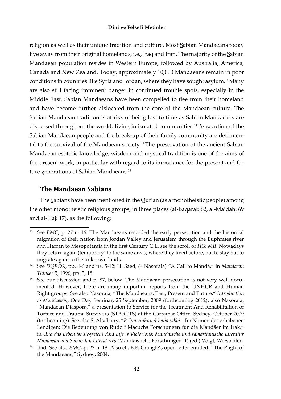religion as well as their unique tradition and culture. Most Sabian Mandaeans today live away from their original homelands, i.e., Iraq and Iran. The majority of the Sabian Mandaean population resides in Western Europe, followed by Australia, America, Canada and New Zealand. Today, approximately 10,000 Mandaeans remain in poor conditions in countries like Syria and Jordan, where they have sought asylum.<sup>13</sup>Many are also still facing imminent danger in continued trouble spots, especially in the Middle East. Sabian Mandaeans have been compelled to flee from their homeland and have become further dislocated from the core of the Mandaean culture. The Sabian Mandaean tradition is at risk of being lost to time as Sabian Mandaeans are dispersed throughout the world, living in isolated communities.<sup>14</sup>Persecution of the Sabian Mandaean people and the break-up of their family community are detrimental to the survival of the Mandaean society.<sup>15</sup> The preservation of the ancient Sabian Mandaean esoteric knowledge, wisdom and mystical tradition is one of the aims of the present work, in particular with regard to its importance for the present and future generations of Sabian Mandaeans.<sup>16</sup>

#### **The Mandaean Sabians**

The Sabians have been mentioned in the Qur'an (as a monotheistic people) among the other monotheistic religious groups, in three places (al-Baqarat: 62, al-Ma'dah: 69 and al- $\text{Haj}:$  17), as the following:

<sup>&</sup>lt;sup>13</sup> See *EMC*, p. 27 n. 16. The Mandaeans recorded the early persecution and the historical migration of their nation from Jordan Valley and Jerusalem through the Euphrates river and Harran to Mesopotamia in the first Century C.E. see the scroll of *HG*; *MII*. Nowadays they return again (temporary) to the same areas, where they lived before, not to stay but to migrate again to the unknown lands.

<sup>&</sup>lt;sup>14</sup> See *DQRDK*, pp. 4-6 and ns. 5-12; H. Saed, (= Nasoraia) "A Call to Manda," in *Mandaean Thinker* 5, 1996, pp. 3, 18.

<sup>15</sup> See our discussion and n. 87, below. The Mandaean persecution is not very well documented. However, there are many important reports from the UNHCR and Human Right groups. See also Nasoraia, "The Mandaeans: Past, Present and Future," *Introduction to Mandaeism*, One Day Seminar, 25 September, 2009 (forthcoming 2012); also Nasoraia, "Mandaean Diaspora," a presentation to Service for the Treatment And Rehabilitation of Torture and Trauma Survivors (STARTTS) at the Carramar Office, Sydney, October 2009 (forthcoming). See also S. Alsohairy, "*B-šumainhun d-haiia rabbi* – Im Namen des erhabenen Lendigen: Die Bedeutung von Rudolf Macuchs Forschungen fur die Mandäer im Irak," in *Und das Leben ist siegreich! And Life is Victorious: Mandaische und samaritanische Literatur Mandaean and Samaritan Literatures* (Mandaistiche Forschungen, 1) (ed.) Voigt, Wiesbaden.

<sup>&</sup>lt;sup>16</sup> Ibid. See also *EMC*, p. 27 n. 18. Also cf., E.F. Crangle's open letter entitled: "The Plight of the Mandaeans," Sydney, 2004.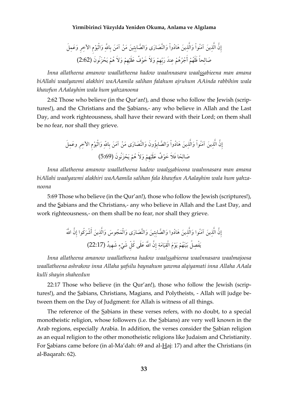Inna allatheena amanow waallatheena hadow waalnnasara waalssabieena man amana biAllahi waalyawmi alakhiri waAAamila salihan falahum ajruhum AAinda rabbihim wala khawfun AAalayhim wala hum yahzanoona

2:62 Those who believe (in the Qur'an!), and those who follow the Jewish (scriptures!), and the Christians and the Sabians,- any who believe in Allah and the Last Day, and work righteousness, shall have their reward with their Lord; on them shall be no fear, nor shall they grieve.

Inna allatheena amanow waallatheena hadow waalssabioona waalnnasara man amana biAllahi waalyawmi alakhiri waAAamila salihan fala khawfun AAalayhim wala hum yahzanoona

5:69 Those who believe (in the Qur'an!), those who follow the Jewish (scriptures!), and the Sabians and the Christians,- any who believe in Allah and the Last Day, and work righteousness,- on them shall be no fear, nor shall they grieve.

Inna allatheena amanow waallatheena hadow waalssabieena waalnnasara waalmajoosa waallatheena ashrakow inna Allaha yafsilu baynahum yawma alqiyamati inna Allaha AAala kulli shayin shaheedun

22:17 Those who believe (in the Qur'an!), those who follow the Jewish (scriptures!), and the Sabians, Christians, Magians, and Polytheists, - Allah will judge between them on the Day of Judgment: for Allah is witness of all things.

The reference of the Sabians in these verses refers, with no doubt, to a special monotheistic religion, whose followers (i.e. the Sabians) are very well known in the Arab regions, especially Arabia. In addition, the verses consider the Sabian religion as an equal religion to the other monotheistic religions like Judaism and Christianity. For Sabians came before (in al-Ma'dah: 69 and al-Haj: 17) and after the Christians (in al-Baqarah: 62).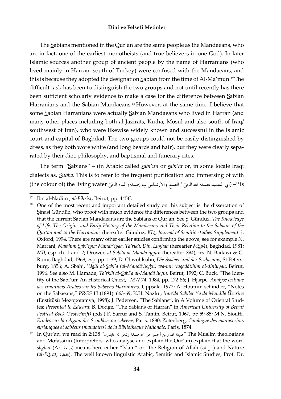The Sabians mentioned in the Qur'an are the same people as the Mandaeans, who are in fact, one of the earliest monotheists (and true believers in one God). In later Islamic sources another group of ancient people by the name of Harranians (who lived mainly in Harran, south of Turkey) were confused with the Mandaeans, and this is because they adopted the designation Sabian from the time of Al-Ma'mun.<sup>17</sup>The difficult task has been to distinguish the two groups and not until recently has there been sufficient scholarly evidence to make a case for the difference between Sabian Harranians and the Sabian Mandaeans.<sup>18</sup> However, at the same time, I believe that some Sabian Harranians were actually Sabian Mandaeans who lived in Harran (and many other places including both al-Jazirats, Kutha, Mosul and also south of Iraq/ southwest of Iran), who were likewise widely known and successful in the Islamic court and capital of Baghdad. The two groups could not be easily distinguished by dress, as they both wore white (and long beards and hair), but they were clearly separated by their diet, philosophy, and baptismal and funerary rites.

The term "Sabians" - (in Arabic called sabi'un or sabi'at or, in some locale Iraqi dialects as, *Subba*. This is to refer to the frequent purification and immersing of with l's=(أي التعميد بصبغة الله الحيّ / الصبغ والأرتماس ب (صبغة) الماء الحيّ the colour of) the living water)

 $17$ Ibn al-Nadim, al-Fihrist, Beirut, pp. 445ff.

One of the most recent and important detailed study on this subject is the dissertation of Sinasi Gündüz, who proof with much evidence the differences between the two groups and that the current Sabian Mandaeans are the Sabians of Qur'an. See S. Gündüz, The Knowledge of Life: The Origins and Early History of the Mandaeans and Their Relation to the Sabians of the Qur'an and to the Harranians (hereafter Gündüz, KL), Journal of Semitic studies Supplement 3, Oxford, 1994. There are many other earlier studies confirming the above, see for example N. Marrani, Mafáhím Sabi'iyya Mandá'iyaa. Ta'rikh. Din. Lughah (hereafter MSM), Baghdad, 1981; MII, esp. ch. 1 and 2; Drower, al-Sabi'a al-Mandā'iyyūn (hereafter SM), trs. N. Badawi & G. Rumi, Baghdad, 1969, esp. pp. 1-39; D. Chwohlsohn, Die Ssabier und der Ssabismus, St Petersburg, 1856; A. Sbahi, 'Usūl al-Sabi'a (al-Mandā'iyykn) wa-mu 'taqadātihim al-diniyyah, Beirut, 1996. See also M. Hamada, Ta'rkih al-Sabi'a al-Mandā'iyyin, Beirut, 1992; C. Buck, "The Identity of the Sabi'un: An Historical Quest," MW 74, 1984, pp. 172-86; J. Hjarpe, Analyse critique des traditions Arabes sur les Sabeens Harraniens, Uppsala, 1972; A. Houtum-schindler, "Notes on the Sabaeans," PRGS 13 (1891): 663-69; K.H. Nazlu , Iran'da Sabiler Ya da Mandile Üzerine (Enstitüsü Mezopotamya, 1998); J. Pedersen, "The Sabians", in A Volume of Oriental Studies; Presented to Edward; B. Dodge, "The Sabians of Harran" in American University of Beirut Festival Book (Festschrift) (eds.) F. Sarruf and S. Tamin, Beirut, 1967, pp.59-85; M.N. Siouffi, Etudes sur la religion des Scoubbas ou sabéene, Paris, 1880; Zotenberg, Catalogue des manuscripts syrianques et sabéens (mandaïtes) de la Bibliotheque Nationale, Paris, 1874.

The Muslim theologians "صبغة الله ومن أحسن من الله صبغة ونحن له عابدون" 138:2 In Qur'an, we read in and Mofassirin (Interpreters, who analyse and explain the Qur'an) explain that the word ع*ليون الله )* means here either "Islam" or "the Religion of Allah (صبغة) and Nature (al-Fitrat, الفطرة). The well known linguistic Arabic, Semitic and Islamic Studies, Prof. Dr.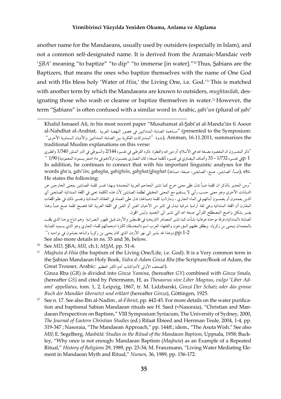another name for the Mandaeans, usually used by outsiders (especially in Islam), and not a common self-designated name. It is derived from the Aramaic-Mandaic verb 'SBA' meaning "to baptize" "to dip" "to immerse [in water]."<sup>20</sup>Thus, Sabians are the Baptizers, that means the ones who baptize themselves with the name of One God and with His bless holy 'Water of Hiia,' the Living One, i.e. God.'<sup>21</sup> This is matched with another term by which the Mandaeans are known to outsiders, mughtasilah, designating those who wash or cleanse or baptize themselves in water.<sup>22</sup> However, the term "Sabians" is often confused with a similar word in Arabic, sabi'un (plural of sabi'

''ذكر المفسرون ان المقصود بصبغة الله هي الأسلام، أو دين الله والفطرة. ذكره القرطبي في تفسيره 2/144 والسيوطي في الدر المنثور 1/340 والطبري p. 1غي تفسيره 1/732 – 33 وأضاف البيضاوي في تفسيره لكلمة صبغة ( كان النصاري يغمسون اولادهم في ماء اصفر يسمونه المعمودية) 1/90. " In addition, he continues to connect that with his important linguistic analyses for the .etc (صبأ، الصابئين، صبغ، الصابغين، صبغة، صباغة) words sba'a, sabi'iin, sabagha, sabighiin, sabghat/sbaghat (صبأ، الصابئين), etc. He states the following:

''ومن الجدير بالذكر ان كلمة صبأ تدل على معنى خرج كما تشير المعاجم العربية المعتمدة وبهذا تفسر كلمة الصابئين بمعنى الخارجين عن الديانات الأخرى وهو معنى حسب رأيي لا يستقيم مع المعنى الحقيقى لطلمة الصابئين لأن هذه الكلمة تعنى في اللغة المندائية الصابغين أى الذين يعمدون أو يغمسون أبنائهم في الماء الجاري ، ومازالت كلمة (صباغة) تدل على العماد في العقائد المندائية وتفسير ذلك في علم اللغات المقارن أن اللغة المندائية وهي لغة آرامية شرقية تبدل في كثير من الأحيان العين أو الغين في اللغة العربية الفا فتصبح كلمة صبغ صبأ وهذا يفسر بشكل واضح المصطلح القرأني صبغة الله التي تشير الى التعميد وليس اللون.

الصابئة (المندائية) فرقة موحدة عرفانية نشأت كما تشير المصادر التاريخية في فلسطين والأردن قبيل ظهور النصرانية. وهم اتباع يوحنا الذي يلقب بالمعمدان (يحيى بن زكريا). ويطلق عليهم المؤرخون والفقهاء العرب اسم (المغتسلة) لكثرة استعمالهم للماء الجاري وهو الذي يسميه الصابئة pp.1-2.(وهذا قد يشير الي نهر الأردن الذي كان يحيى بن زكريا واتباعه يعيشون في نواحيه.)'' See also more details in ns. 35 and 36, below.

- $20\,$ See MD, SBA; MII, ch.1; MSM, pp. 51-6.
- <sup>21</sup> Masbuta d-Hiia (the baptism of the Living One/Life, i.e. God). It is a Very common term in the Sabian Mandaean Holy Book, Sidra d-Adam Ginza Rba (the Scripture/Book of Adam, the Great Trouser, Arabic: الصحف الأولى لآدم/كتاب آدم الكنز العظيم). Ginza Rba (GR) is divided into Ginza Yamina, (hereafter GY) combined with Ginza Smala, (hereafter GS) and cited by Petermann, H, as Thesaurus sive Liber Magnus, vulgo 'Liber Adami' appellatus, tom. 1, 2, Leipzig, 1867, tr. M. Lidzbarski, Ginzá Der Schatz oder das grosse
- Buch der Mandäer übersetzt und erklart (hereafter Ginza), Göttingen, 1925. 22 See n. 17. See also Ibn al-Nadim, al-Fihrist, pp. 442-45. For more details on the water purification and baptismal Sabian Mandaean rituals see H. Saed (=Nasoraia), "Christian and Man-
- daean Perspectives on Baptism," VIII Symposium Syriacum, The University of Sydney, 2000, The Journal of Eastern Christian Studies (ed.) Rifaat Ebieed and Herrman Teule, 2004, 1-4, pp. 319-347; Nasoraia, "The Mandaean Approach," pp. 144ff.; idem., "The Asuta Wish." See also MII; E. Segelberg, Masbūtā: Studies in the Ritual of the Mandaean Baptism, Uppsala, 1958; Buckley, "Why once is not enough: Mandaean Baptism (Masbuta) as an Example of a Repeated Ritual," History of Religions 29, 1989, pp. 23-34; M. Franzmann, "Living Water Mediating Element in Mandaean Myth and Ritual," Numen, 36, 1989, pp. 156-172.

Khalid Ismaeel Ali, in his most recent paper "Musahamat al-Sabi'at al-Manda'iin fi Asoor :presented to the Symposium) "مساهمة الصابئة المندائيين في عصور النهضة العربية al-Nahdhat al-Arabiat, Amman, 16.11.2011, summarizes the ,(ندوة: ''المشتركات الفكرية بين الصابئة المندائيين والأديان السماوية الأخرى'' traditional Muslim explanations on this verse: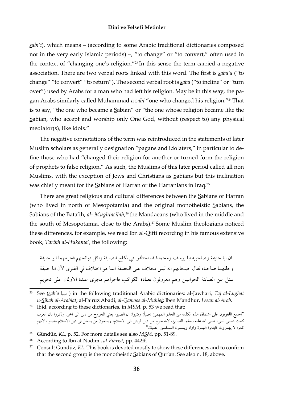sabi'i), which means – (according to some Arabic traditional dictionaries composed not in the very early Islamic periods) –, "to change" or "to convert," often used in the context of "changing one's religion."<sup>23</sup> In this sense the term carried a negative association. There are two verbal roots linked with this word. The first is saba'a ("to change" "to convert" "to return"). The second verbal root is saba ("to incline" or "turn over") used by Arabs for a man who had left his religion. May be in this way, the pagan Arabs similarly called Muhammad a sabi "one who changed his religion."<sup>24</sup>That is to say, "the one who became a Sabian" or "the one whose religion became like the Sabian, who accept and worship only One God, without (respect to) any physical mediator(s), like idols."

The negative connotations of the term was reintroduced in the statements of later Muslim scholars as generally designation "pagans and idolaters," in particular to define those who had "changed their religion for another or turned form the religion of prophets to false religion." As such, the Muslims of this later period called all non Muslims, with the exception of Jews and Christians as Sabians but this inclination was chiefly meant for the Sabians of Harran or the Harranians in Iraq.<sup>25</sup>

There are great religious and cultural differences between the Sabians of Harran (who lived in north of Mesopotamia) and the original monotheistic Sabians, the Sabians of the Bata'ih, al- Mughtasilah,<sup>26</sup> the Mandaeans (who lived in the middle and the south of Mesopotamia, close to the Arabs).<sup>27</sup> Some Muslim theologians noticed these differences, for example, we read Ibn al-Qifti recording in his famous extensive book, Tarikh al-Hukama', the following:

ان ابا حنيفة وصاحبيه ابا يوسف ومحمدا قد اختلفوا في نكاح الصابئة واكل ذبائحهم فحرمهما ابو حنيفة وحللهما صاحباه فقال اصحابهم انه ليس بخلاف على الحقيقة انما هو اختلاف في الفتوى لأن ابا حنيفة سئل عن الصابئة الحرانيين وهم معروفون بعبادة الكواكب فاجراهم مجرى عبدة الاوثان على تحريم

- <sup>25</sup> Gündüz, KL, p. 52. For more details see also  $M<sub>5</sub>M$ , pp. 51-89.
- 26 According to Ibn al-Nadim, al-Fihrist, pp. 442ff.
- <sup>27</sup> Consult Gündüz, KL. This book is devoted mostly to show these differences and to confirm that the second group is the monotheistic Sabians of Qur'an. See also n. 18, above.

<sup>&</sup>lt;sup>23</sup> See (sab'a أصبأ) in the following traditional Arabic dictionaries: al-Jawhari, *Taj al-Lughat* u-Sihah al-Arabiat; al-Fairuz Abadi, al-Qamoos al-Muhiet; Iben Mandhur, Lesan al-Arab.

<sup>24</sup> Ibid. according to these dictionaries, in MSM, p. 53 we read that: "أجمع اللغويون على اشتقاق هذه الكلمة من الجذر المهموز (صبأ) وكتبوا: ان الصبوء يعني الخروج من دين الى آخر. وذكروا بان العرب كانت تسمي النبي، صلى الله عليه وسلم، الصابئ، لانه خرج من دين قريش الى الاسلام، ويسمون من يدخل في دين الاسلام مصبوا، لانهم كانوا لا يهمزون، فابدلوا الهمزة واوا، ويسمون المسلمين الصباة."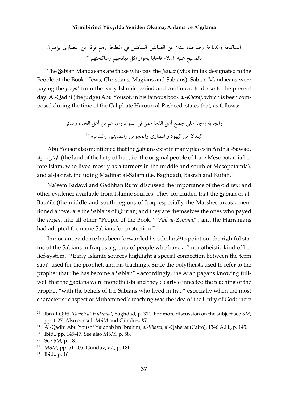The Sabian Mandaeans are those who pay the *Jezyat* (Muslim tax designated to the People of the Book - Jews, Christians, Magians and Sabians). Sabian Mandaeans were paying the *Jezyat* from the early Islamic period and continued to do so to the present day. Al-Qadhi (the judge) Abu Yousof, in his famous book al-Kharaj, which is been composed during the time of the Caliphate Haroun al-Rasheed, states that, as follows:

Abu Yousof also mentioned that the Sabians exist in many places in Ardh al-Sawad, رض السواد), (the land of the laity of Iraq, i.e. the original people of Iraq/ Mesopotamia before Islam, who lived mostly as a farmers in the middle and south of Mesopotamia), and al-Jazirat, including Madinat al-Salam (i.e. Baghdad), Basrah and Kufah.<sup>30</sup>

Na'eem Badawi and Gadhban Rumi discussed the importance of the old text and other evidence available from Islamic sources. They concluded that the Sabian of al-Bata'ih (the middle and south regions of Iraq, especially the Marshes areas), mentioned above, are the Sabians of Qur'an; and they are themselves the ones who payed the Jezyat, like all other "People of the Book," "Ahl al-Zemmat"; and the Harranians had adopted the name Sabians for protection.<sup>31</sup>

Important evidence has been forwarded by scholars<sup>32</sup> to point out the rightful status of the Sabians in Iraq as a group of people who have a "monotheistic kind of belief-system."<sup>33</sup> Early Islamic sources highlight a special connection between the term sabi', used for the prophet, and his teachings. Since the polytheists used to refer to the prophet that "he has become a Sabian" - accordingly, the Arab pagans knowing fullwell that the Sabians were monotheists and they clearly connected the teaching of the prophet "with the beliefs of the Sabians who lived in Iraq" especially when the most characteristic aspect of Muhammed's teaching was the idea of the Unity of God: there

<sup>&</sup>lt;sup>28</sup> Ibn al-Qifti, Tarikh al-Hukama', Baghdad, p. 311. For more discussion on the subject see *SM*, pp. 1-27. Also consult MSM and Gündüz, KL.

<sup>&</sup>lt;sup>29</sup> Al-Qadhi Abu Yousof Ya'qoob bn Ibrahim, al-Kharaj, al-Qaherat (Cairo), 1346 A.H., p. 145.

<sup>&</sup>lt;sup>30</sup> Ibid., pp. 145-47. See also *MSM*, p. 58.

<sup>&</sup>lt;sup>31</sup> See *SM*, p. 18.

<sup>&</sup>lt;sup>32</sup> MSM, pp. 51-105; Gündüz, KL, p. 18f.

<sup>&</sup>lt;sup>33</sup> Ibid., p. 16.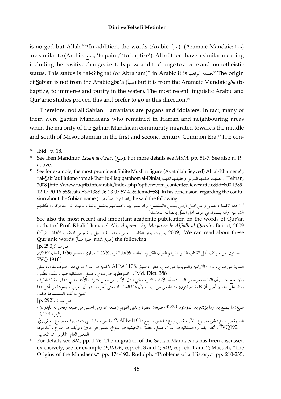is no god but Allah."34 In addition, the words (Arabic: صا), (Aramaic Mandaic: ص) are similar to (Arabic: صبغ, 'to paint,' 'to baptize'). All of them have a similar meaning including the positive change, i.e. to baptize and to change to a pure and monotheistic status. This status is "al-Sibghat (of Abraham)" in Arabic it is مسغة أبراهيم 35 The origin of Sabian is not from the Arabic sba'a (صبأ) but it is from the Aramaic Mandaic sba (to baptize, to immerse and purify in the water). The most recent linguistic Arabic and Qur'anic studies proved this and prefer to go in this direction.<sup>36</sup>

Therefore, not all Sabian Harranians are pagans and idolaters. In fact, many of them were Sabian Mandaeans who remained in Harran and neighbouring areas when the majority of the Sabian Mandaean community migrated towards the middle and south of Mesopotamian in the first and second century Common Era.<sup>37</sup> The con-

"ان هذه الكلمة (الصابيء) من اصل آرامي بمعنى «المغتسل» وقد سموا بها لاهتمامهم بالغسل بالماء، بحيث انه احد اركان احكامهم الشرعية ;ولذا يسمون في عرف اهل الملل بالصابئة المغتسلة".

See also the most recent and important academic publication on the words of Qur'an is that of Prof. Khalid Ismaeel Ali, al-qamos hg-Moqaran le-Alfadh al-Qura'n, Beirut, 2009 (2009). We can read about these بيروت ,دار الكاتب العربي، مؤسسة البديل ,القاموس المقارن لألفاظ القرآن) Qur'anic words (صبغ and صبا,صباً) the following: ص ب أ:[p. 290]

.الصابئون: من طوائف أهل الكتاب الذين ذكرهم القرآن الكريم، المائدة 5/69. البقرة 2/62. البيضاوي، تفسير 1/66 . لسان 7/267. FVQ 191f.]

العبرية ص ب ع : لون ؛ الأرامية والسريانية ص ب ع: غطى ، صبغ ،AHw 1108لأكدية ص ب / ف ي ت : صوف ملون ، سقي Md. Dict. 388]. ؛ السوقطرية ص ب ع : صبغ ، المندائية صبا : عمّد، غطس.

والأرجح عندي أن الكلمة معرّبة من المندائية، أو الآرامية الشرقية التي تبدل الألف من العين كثيرا، كالأكدية التي تبدلها هكذا باطراد، وبناء على هذا لا أضن أن كلمة (صابئون) مشتقة من ص ب أ ، لأن هذا الجذر له معنى آخر، ويبدو أن العرب سمعوها من أهل هذا الدين بلألف فاستعملوها هكذا.

ص ب غ :[p. 292]

صبغ: ما يصبغ به، وما يؤتدم به، المؤمنون 32/20، صبغة: الفطرة والدين القويم (صبغة الله ومن احسن من صبغة ونحن له عابدون) ، [البقرة 2/138.

العبرية ص ب ع : شئ مصبوغ ؛ الآرامية ص ب ع : غطس ، صبغ ؛ AHw1108الأكدية ص ب / ف ي ت : صوف مصبوغ ، سقي ريّ .FVQ192 ، أنظر ايضا .]؛ المندائية ص ب ا : صبغ ، غطَّسّ ، الحبشية ص ب خ: غمّس (في مرق) ، وأيضا ص ب ح : أعدّ مرقة المعنى العام: التلوين، ثم التعميد.

For details see *SM*, pp. 1-76. The migration of the Sabian Mandaeans has been discussed extensively, see for example DQRDK, esp. ch. 3 and 4; MII, esp. ch. 1 and 2; Macuch, "The Origins of the Mandaens," pp. 174-192; Rudolph, "Problems of a History," pp. 210-235;

<sup>34</sup> Ibid., p. 18.

<sup>35</sup> See Iben Mandhur, Lesan al-Arab, (صبغ). For more details see MSM, pp. 51-7. See also n. 19, above.

See for example, the most prominent Shiite Muslim figure (Ayatollah Seyyed) Ali al-Khamene'i, ,Tehran" (الصابئة: حكمهم الشرعي وحقيقتهم الدينية ,al-Sabi'at: Hukmohom al-Shar'i u-Haqiqatohom al-Diniat") 2008, [http://www.taqrib.info/arabic/index.php?option=com\_content&view=article&id=800:1389-12-17-20-16-55&catid=37:1388-06-23-07-57-41&Itemid=58]. In his conclusion, regarding the confusion about the Sabian name (الصابئون، صبأ، صبا), he said the following: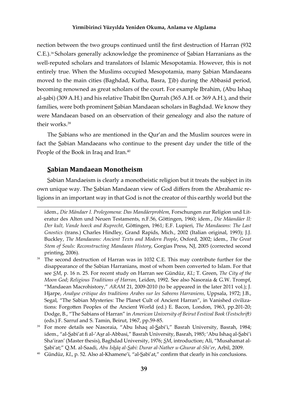nection between the two groups continued until the first destruction of Harran (932) C.E.).<sup>38</sup>Scholars generally acknowledge the prominence of Sabian Harranians as the well-reputed scholars and translators of Islamic Mesopotamia. However, this is not entirely true. When the Muslims occupied Mesopotamia, many Sabian Mandaeans moved to the main cities (Baghdad, Kutha, Basra, Tib) during the Abbasid period, becoming renowned as great scholars of the court. For example Ibrahim, (Abu Ishaq al-sabi) (309 A.H.) and his relative Thabit Ibn Qurrah (365 A.H. or 369 A.H.), and their families, were both prominent Sabian Mandaean scholars in Baghdad. We know they were Mandaean based on an observation of their genealogy and also the nature of their works.39

The Sabians who are mentioned in the Qur'an and the Muslim sources were in fact the Sabian Mandaeans who continue to the present day under the title of the People of the Book in Iraq and Iran.<sup>40</sup>

#### **Sabian Mandaean Monotheism**

Sabian Mandaeism is clearly a monotheistic religion but it treats the subject in its own unique way. The Sabian Mandaean view of God differs from the Abrahamic religions in an important way in that God is not the creator of this earthly world but the

idem., *Die Mändaer I. Prolegomena: Das Mandäerproblem*, Forschungen zur Religion und Literatur des Alten und Neuen Testaments, n.F.56, Göttingen, 1960; idem., *Die Māandäer II*: *Der kult, Vande hoeck and Ruprecht, Göttingen, 1961; E.F. Lupieri, The Mandaeans: The Last Gnostics* (trans.) Charles Hindley, Grand Rapids, Mich., 2002 (Italian original, 1993); J.J. Buckley, *The Mandaeans: Ancient Texts and Modern People*, Oxford, 2002; idem., *The Great Stem of Souls: Reconstructing Mandaean History*, Gorgias Press, NJ, 2005 (corrected second printing, 2006).

<sup>&</sup>lt;sup>38</sup> The second destruction of Harran was in 1032 C.E. This may contribute further for the disappearance of the Sabian Harranians, most of whom been converted to Islam. For that see *SM*, p. 16 n. 25. For recent study on Harran see Gündüz, *KL*; T. Green, *The City of the Moon God*; *Religious Traditions of Harran*, Leiden, 1992. See also Nasoraia & G.W. Trompf, "Mandaean Macrohistory," *ARAM* 21, 2009-2010 (to be appeared in the later 2011 vol.); J. Hjarpe, *Analyse critique des traditions Arabes sur les Sabeens Harraniens,* Uppsala, 1972; J.B., Segal, "The Sabian Mysteries: The Planet Cult of Ancient Harran", in Vanished civilizations: Forgotten Peoples of the Ancient World (ed.) E. Bacon, London, 1963, pp.201-20; Dodge, B., "The Sabians of Harran" in *American University of Beirut Festival Book (FestschriĞ)* (eds.) F. Sarruf and S. Tamin, Beirut, 1967, pp.59-85.

<sup>39</sup>For more details see Nasoraia, "Abu Ishaq al-Sabi'i," Basrah University, Basrah, 1984; idem., "al-Sabi'at fi al-'Asr al-Abbasi," Basrah University, Basrah, 1985; 'Abu Ishaq al-Sabi'i Sha'iran' (Master thesis), Baghdad University, 1976; *SM*, introduction; Ali, "Musahamat al-Sabi'at;" Q.M. al-Saadi, *Abu Ishäq al-Sabi: Durar al-Nather u-Ghurar al-Shi'er*, Arbil, 2009.

<sup>&</sup>lt;sup>40</sup> Gündüz, *KL*, p. 52. Also al-Khamene'i, "al-Sabi'at," confirm that clearly in his conclusions.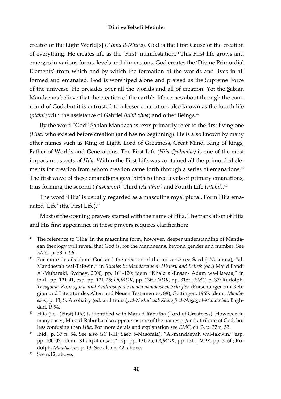creator of the Light World[s] (*Almia d-Nhura*). God is the First Cause of the creation of everything. He creates life as the 'First' manifestation.<sup>41</sup>This First life grows and emerges in various forms, levels and dimensions. God creates the 'Divine Primordial Elements' from which and by which the formation of the worlds and lives in all formed and emanated. God is worshiped alone and praised as the Supreme Force of the universe. He presides over all the worlds and all of creation. Yet the Sabian Mandaeans believe that the creation of the earthly life comes about through the command of God, but it is entrusted to a lesser emanation, also known as the fourth life (*ptahil)* with the assistance of Gabriel (*hibil ziwa*) and other Beings*.* 42

By the word "God" Sabian Mandaeans texts primarily refer to the first living one (*Hiia)* who existed before creation (and has no beginning). He is also known by many other names such as King of Light, Lord of Greatness, Great Mind, King of kings, Father of Worlds and Generations. The First Life (*Hiia Qadmaiia)* is one of the most important aspects of *Hiia*. Within the First Life was contained all the primordial elements for creation from whom creation came forth through a series of emanations.<sup>43</sup> The first wave of these emanations gave birth to three levels of primary emanations, thus forming the second (*Yushamin),* Third (*Abathur)* and Fourth Life (*Ptahil).*<sup>44</sup>

The word 'Hiia' is usually regarded as a masculine royal plural. Form Hiia emanated 'Life' (the First Life).<sup>45</sup>

Most of the opening prayers started with the name of Hiia. The translation of Hiia and His first appearance in these prayers requires clarification:

<sup>&</sup>lt;sup>41</sup> The reference to 'Hiia' in the masculine form, however, deeper understanding of Mandaean theology will reveal that God is, for the Mandaeans, beyond gender and number. See *EMC*, p. 38 n. 56.

 $42$  For more details about God and the creation of the universe see Saed (=Nasoraia), "al-Mandaeyah wal-Takwin," in *Studies in Mandaeanism: History and Beliefs* (ed.) Majid Fandi Al-Mubaraki, Sydney, 2000, pp. 101-120; idem "Khalq al-Ensan- Adam wa-Hawaa," in ibid., pp. 121-41, esp. pp. 121-25; *DQRDK*, pp. 13ě.; *NDK*, pp. 316f.; *EMC*, p. 37; Rudolph, *Theogonie, Kosmogonie und Anthropogonie in den mandäishen SchriĞen* (Forschungen zur Religion und Literatur des Alten und Neuen Testamentes, 88), Göttingen, 1965; idem., Manda*eism*, p. 13; S. Alsohairy (ed. and trans.), *al-Neshu' ual-Khalq ę al-Nusus al-Manda'iah*, Baghdad, 1994.

<sup>&</sup>lt;sup>43</sup> Hiia (i.e., (First) Life) is identified with Mara d-Rabutha (Lord of Greatness). However, in many cases, Mara d-Rabutha also appears as one of the names or/and attribute of God, but less confusing than *Hiia*. For more detais and explanation see *EMC*, ch. 3, p. 37 n. 53.

<sup>44</sup>Ibid., p. 37 n. 54. See also *GY* I-III; Saed (=Nasoraia), "Al-mandaeyah wal-takwin," esp. pp. 100-03; idem "Khalq al-ensan," esp. pp. 121-25; *DQRDK*, pp. 13ě.; *NDK*, pp. 316f.; Rudolph, *Mandaeism*, p. 13. See also n. 42, above.

<sup>45</sup> See n.12, above.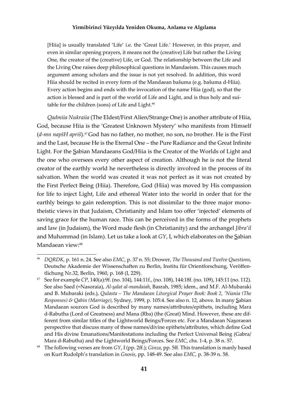[Hiia] is usually translated 'Life' i.e. the 'Great Life.' However, in this prayer, and even in similar opening prayers, it means not the (creative) Life but rather the Living One, the creator of the (creative) Life, or God. The relationship between the Life and the Living One raises deep philosophical questions in Mandaeism. This causes much argument among scholars and the issue is not yet resolved. In addition, this word Hiia should be recited in every form of the Mandaean bašuma (e.g. bašuma d-Hiia). Every action begins and ends with the invocation of the name Hiia (god), so that the action is blessed and is part of the world of Life and Light, and is thus holy and suitable for the children (sons) of Life and Light.<sup>46</sup>

*Qadmiia Nukraiia* (The Eldest/First Alien/Strange One) is another attribute of Hiia, God, because Hiia is the 'Greatest Unknown Mystery' who manifests from Himself (*d-mn napšH apriš*).<sup>47</sup>God has no father, no mother, no son, no brother. He is the First and the Last, because He is the Eternal One - the Pure Radiance and the Great Infinite Light. For the Sabian Mandaeans God/Hiia is the Creator of the Worlds of Light and the one who oversees every other aspect of creation. Although he is not the literal creator of the earthly world he nevertheless is directly involved in the process of its salvation. When the world was created it was not perfect as it was not created by the First Perfect Being (Hiia). Therefore, God (Hiia) was moved by His compassion for life to inject Light, Life and ethereal Water into the world in order that for the earthly beings to gain redemption. This is not dissimilar to the three major monotheistic views in that Judaism, Christianity and Islam too offer 'injected' elements of saving grace for the human race. This can be perceived in the forms of the prophets and law (in Judaism), the Word made flesh (in Christianity) and the archangel *Jibra'il* and Muhammad (in Islam). Let us take a look at *GY*, I, which elaborates on the Sabian Mandaean view:<sup>48</sup>

<sup>46</sup>*DQRDK*, p. 161 n. 24. See also *EMC*, p. 37 n. 55; Drower, *The Thousand and Twelve Questions*, Deutsche Akademie der Wissenschaften zu Berlin, Institu für Orientforschung, Veröffentlichung Nr.32, Berlin, 1960, p. 168 (I, 229).

<sup>47</sup>See for example *CP*, 140(a):9f. (no. 104), 144:11f., (no. 108), 144:18f. (no. 109), 145:11 (no. 112). See also Saed (=Nasoraia), *Al-salat al-mandaiah*, Basrah, 1985; idem., and M.F. Al-Mubaraki and B. Mubaraki (eds.), *Qulasta – The Mandaean Liturgical Prayer Book: Book 2, 'Niania (The Responses) & Qabin (Marriage)*, Sydney, 1999, p. 105:4. See also n. 12, above. In many Sabian Mandaean sources God is described by many names/attributes/epithets, including Mara d-Rabutha (Lord of Greatness) and Mana (Rba) (the (Great) Mind. However, these are different from similar titles of the Lightworld Beings/Forces etc. For a Mandaean Nasoraean perspective that discuss many of these names/divine epithets/attributes, which define God and His divine Emanations/Manifestations including the Perfect Universal Being (Gabra/ Mara d-Rabutha) and the Lightworld Beings/Forces. See *EMC*, chs. 1-4, p. 38 n. 57.

The following verses are from *GY*, I (pp. 2ff.); *Ginza*, pp. 5ff. This translation is manly based on Kurt Rudolph's translation in *Gnosis*, pp. 148-49. See also *EMC*, p. 38-39 n. 58.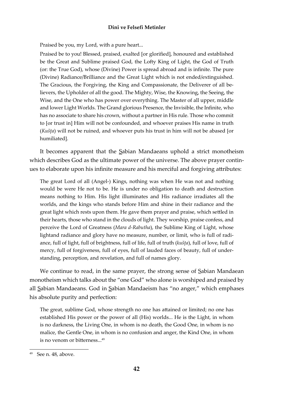Praised be you, my Lord, with a pure heart...

Praised be to you! Blessed, praised, exalted [or glorified], honoured and established be the Great and Sublime praised God, the Lofty King of Light, the God of Truth (or: the True God), whose (Divine) Power is spread abroad and is infinite. The pure (Divine) Radiance/Brilliance and the Great Light which is not ended/extinguished. The Gracious, the Forgiving, the King and Compassionate, the Deliverer of all believers, the Upholder of all the good. The Mighty, Wise, the Knowing, the Seeing, the Wise, and the One who has power over everything. The Master of all upper, middle and lower Light Worlds. The Grand glorious Presence, the Invisible, the Infinite, who has no associate to share his crown, without a partner in His rule. Those who commit to [or trust in] Him will not be confounded, and whoever praises His name in truth (*Kušôa*) will not be ruined, and whoever puts his trust in him will not be abased [or humiliated].

It becomes apparent that the Sabian Mandaeans uphold a strict monotheism which describes God as the ultimate power of the universe. The above prayer continues to elaborate upon his infinite measure and his merciful and forgiving attributes:

The great Lord of all (Angel-) Kings, nothing was when He was not and nothing would be were He not to be. He is under no obligation to death and destruction means nothing to Him. His light illuminates and His radiance irradiates all the worlds, and the kings who stands before Him and shine in their radiance and the great light which rests upon them. He gave them prayer and praise, which settled in their hearts, those who stand in the clouds of light. They worship, praise confess, and perceive the Lord of Greatness (*Mara d-Rabutha*), the Sublime King of Light, whose lightand radiance and glory have no measure, number, or limit, who is full of radiance, full of light, full of brightness, full of life, full of truth (*kušôa*), full of love, full of mercy, full of forgiveness, full of eyes, full of lauded faces of beauty, full of understanding, perception, and revelation, and full of names glory.

We continue to read, in the same prayer, the strong sense of <u>S</u>abian Mandaean monotheism which talks about the "one God" who alone is worshiped and praised by all Sabian Mandaeans. God in Sabian Mandaeism has "no anger," which emphases his absolute purity and perfection:

The great, sublime God, whose strength no one has attained or limited; no one has established His power or the power of all (His) worlds... He is the Light, in whom is no darkness, the Living One, in whom is no death, the Good One, in whom is no malice, the Gentle One, in whom is no confusion and anger, the Kind One, in whom is no venom or bitterness...<sup>49</sup>

<sup>49</sup> See n. 48, above.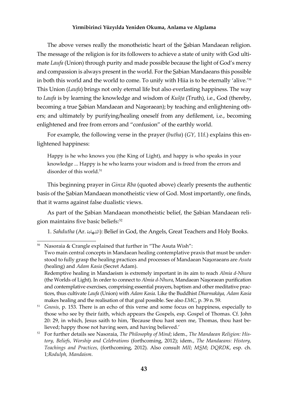The above verses really the monotheistic heart of the Sabian Mandaean religion. The message of the religion is for its followers to achieve a state of unity with God ultimate *Laufa* (Union) through purity and made possible because the light of God's mercy and compassion is always present in the world. For the Sabian Mandaeans this possible in both this world and the world to come. To unify with Hiia is to be eternally 'alive.'<sup>50</sup> This Union (*Laufa*) brings not only eternal life but also everlasting happiness. The way to *Laufa* is by learning the knowledge and wisdom of *Kušôa* (Truth), i.e., God (thereby, becoming a true Sabian Mandaean and Nasoraean); by teaching and enlightening others; and ultimately by purifying/healing oneself from any defilement, i.e., becoming enlightened and free from errors and "confusion" of the earthly world.

For example, the following verse in the prayer (*butha*) (*GY,* 11f.) explains this enlightened happiness:

Happy is he who knows you (the King of Light), and happy is who speaks in your knowledge ... Happy is he who learns your wisdom and is freed from the errors and disorder of this world.<sup>51</sup>

This beginning prayer in *Ginza Rba* (quoted above) clearly presents the authentic basis of the Sabian Mandaean monotheistic view of God. Most importantly, one finds, that it warns against false dualistic views.

As part of the Sabian Mandaean monotheistic belief, the Sabian Mandaean religion maintains five basic beliefs:<sup>52</sup>

1. Sahdutha (Ar. الشهادة): Belief in God, the Angels, Great Teachers and Holy Books.

Nasoraia & Crangle explained that further in "The Asuta Wish": Two main central concepts in Mandaean healing contemplative praxis that must be understood to fully grasp the healing practices and processes of Mandaean Nasoraeans are *Asuta* (healing) and *Adam Kasia* (Secret Adam).

Redemptive healing in Mandaeism is extremely important in its aim to reach *Almia d-Nhura* (the Worlds of Light). In order to connect to *Almia d-Nhura*, Mandaean Nasoraean purification and contemplative exercises, comprising essential prayers, baptism and other meditative practices, thus cultivate *Laufa* (Union) with *Adam Kasia*. Like the Buddhist *Dharmakava, Adam Kasia* makes healing and the realisation of that goal possible. See also *EMC*, p. 39 n. 59.

<sup>51</sup>*Gnosis*, p. 153. There is an echo of this verse and some focus on happiness, especially to those who see by their faith, which appears the Gospels, esp. Gospel of Thomas. Cf. John 20: 29, in which, Jesus saith to him, 'Because thou hast seen me, Thomas, thou hast believed; happy those not having seen, and having believed.'

<sup>52</sup> For further details see Nasoraia, *The Philosophy of Mind*; idem., *The Mandaean Religion: History, Beliefs, Worship and Celebrations* (forthcoming, 2012); idem., *The Mandaeans: History, Teachings and Practices*, (forthcoming, 2012). Also consult *MII*; *MSM*; *DQRDK*, esp. ch. 1*;Rodulph, Mandaism*.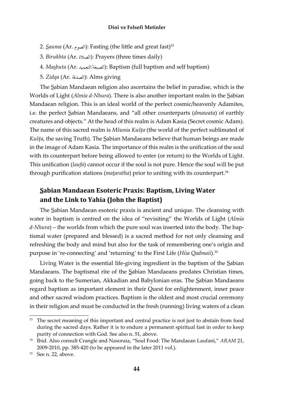- 2. Sauma (Ar. الصوم): Fasting (the little and great fast)<sup>53</sup>
- 3. *Birukhta* (Ar. الصلاة): Prayers (three times daily)
- 4. *Masbuta* (Ar. ïĻĩđÝĤÒ/Ùĕ×āĤÒ): Baptism (full baptism and self baptism)
- 5. *Zidqa* (Ar. الصدقة): Alms giving

The Sabian Mandaean religion also ascertains the belief in paradise, which is the Worlds of Light (*Almia d-Nhura*). There is also another important realm in the Sabian Mandaean religion. This is an ideal world of the perfect cosmic/heavenly Adamites, i.e. the perfect Sabian Mandaeans, and "all other counterparts (*dmawata*) of earthly creatures and objects." At the head of this realm is Adam Kasia (Secret cosmic Adam). The name of this sacred realm is *Mšunia Kušôa* (the world of the perfect sublimated of *Kušôa*, the saving Truth). The Sabian Mandaeans believe that human beings are made in the image of Adam Kasia. The importance of this realm is the unification of the soul with its counterpart before being allowed to enter (or return) to the Worlds of Light. This unification (*laufa*) cannot occur if the soul is not pure. Hence the soul will be put through purification stations (*mataratha*) prior to uniting with its counterpart.<sup>54</sup>

# **Sabian Mandaean Esoteric Praxis: Baptism, Living Water and the Link to Yahia (John the Baptist)**

The Sabian Mandaean esoteric praxis is ancient and unique. The cleansing with water in baptism is centred on the idea of "revisiting" the Worlds of Light (*Almia d-Nhura*) – the worlds from which the pure soul was inserted into the body. The baptismal water (prepared and blessed) is a sacred method for not only cleansing and refreshing the body and mind but also for the task of remembering one's origin and purpose in 're-connecting' and 'returning' to the First Life (*Hiia Qadmaii*).55

Living Water is the essential life-giving ingredient in the baptism of the Sabian Mandaeans. The baptismal rite of the Sabian Mandaeans predates Christian times, going back to the Sumerian, Akkadian and Babylonian eras. The Sabian Mandaeans regard baptism as important element in their Quest for enlightenment, inner peace and other sacred wisdom practices. Baptism is the oldest and most crucial ceremony in their religion and must be conducted in the fresh (running) living waters of a clean

The secret meaning of this important and central practice is not just to abstain from food during the sacred days. Rather it is to endure a permanent spiritual fast in order to keep purity of connection with God. See also n. 51, above.

<sup>&</sup>lt;sup>54</sup> Ibid. Also consult Crangle and Nasoraia, "Soul Food: The Mandaean Laufani," *ARAM* 21, 2009-2010, pp. 385-420 (to be appeared in the later 2011 vol.).

<sup>55</sup> See n. 22, above.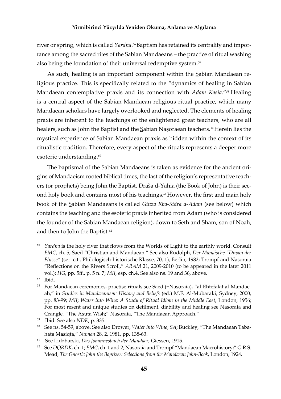river or spring, which is called *Yardna*. 56 Baptism has retained its centrality and importance among the sacred rites of the Sabian Mandaeans – the practice of ritual washing also being the foundation of their universal redemptive system.<sup>57</sup>

As such, healing is an important component within the Sabian Mandaean religious practice. This is specifically related to the "dynamics of healing in Sabian Mandaean contemplative praxis and its connection with *Adam Kasia*."<sup>58</sup> Healing is a central aspect of the Sabian Mandaean religious ritual practice, which many Mandaean scholars have largely overlooked and neglected. The elements of healing praxis are inherent to the teachings of the enlightened great teachers, who are all healers, such as John the Baptist and the Sabian Nasoraean teachers.<sup>59</sup>Herein lies the mystical experience of Sabian Mandaean praxis as hidden within the context of its ritualistic tradition. Therefore, every aspect of the rituals represents a deeper more esoteric understanding.<sup>60</sup>

The baptismal of the Sabian Mandaeans is taken as evidence for the ancient origins of Mandaeism rooted biblical times, the last of the religion's representative teachers (or prophets) being John the Baptist. Draša d-Yahia (the Book of John) is their second holy book and contains most of his teachings.<sup>61</sup> However, the first and main holy book of the Sabian Mandaeans is called *Ginza Rba-Sidra d-Adam* (see below) which contains the teaching and the esoteric praxis inherited from Adam (who is considered the founder of the Sabian Mandaean religion), down to Seth and Sham, son of Noah, and then to John the Baptist.<sup>62</sup>

Yardna is the holy river that flows from the Worlds of Light to the earthly world. Consult *EMC*, ch. 5; Saed "Christian and Mandaean." See also Rudolph, *Der Manäische "Diwan der Flüsse"* (ser. cit., Philologisch-historische Klasse, 70, 1), Berlin, 1982; Trompf and Nasoraia "Reflections on the Rivers Scroll," ARAM 21, 2009-2010 (to be appeared in the later 2011 vol.); *HG*, pp. 5ě., p. 5 n. 7; *MII*, esp. ch.4. See also ns. 19 and 36, above.

<sup>&</sup>lt;sup>57</sup> Ibid.

<sup>58</sup> For Mandaean ceremonies, practise rituals see Saed (=Nasoraia), "al-Ehtefalat al-Mandaeah," in *Studies in Mandaeanism: History and Beliefs* (ed.) M.F. Al-Mubaraki, Sydney, 2000, pp. 83-99; *MII*; *Water into Wine: A Study of Ritual Idiom in the Middle East*, London, 1956; For most resent and unique studies on defilment, diability and healing see Nasoraia and Crangle, "The Asuta Wish;" Nasoraia, "The Mandaean Approach."

<sup>&</sup>lt;sup>59</sup> Ibid. See also *NDK*, p. 335.

<sup>60</sup> See ns. 54-59, above. See also Drower, *Water into Wine*; *SA*; Buckley, "The Mandaean Tabahata Masiqta," *Numen* 28, 2, 1981, pp. 138-63.

<sup>61</sup>See Lidzbarski, *Das Johannesbuch der Mandäer*, Giessen, 1915.

<sup>&</sup>lt;sup>62</sup> See *DQRDK*, ch. 1; *EMC*, ch. 1 and 2; Nasoraia and Trompf "Mandaean Macrohistory;" G.R.S. Mead, *The Gnostic John the Baptizer: Selections from the Mandaean John-Book*, London, 1924.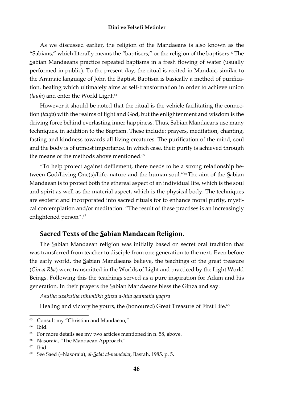As we discussed earlier, the religion of the Mandaeans is also known as the "Sabians," which literally means the "baptisers," or the religion of the baptisers. $63$  The Sabian Mandaeans practice repeated baptisms in a fresh flowing of water (usually performed in public). To the present day, the ritual is recited in Mandaic, similar to the Aramaic language of John the Baptist. Baptism is basically a method of purification, healing which ultimately aims at self-transformation in order to achieve union (*laufa*) and enter the World Light.<sup>64</sup>

However it should be noted that the ritual is the vehicle facilitating the connection (*laufa*) with the realms of light and God, but the enlightenment and wisdom is the driving force behind everlasting inner happiness. Thus, Sabian Mandaeans use many techniques, in addition to the Baptism. These include: prayers, meditation, chanting, fasting and kindness towards all living creatures. The purification of the mind, soul and the body is of utmost importance. In which case, their purity is achieved through the means of the methods above mentioned.<sup>65</sup>

"To help protect against defilement, there needs to be a strong relationship between God/Living One(s)/Life, nature and the human soul."<sup>66</sup> The aim of the Sabian Mandaean is to protect both the ethereal aspect of an individual life, which is the soul and spirit as well as the material aspect, which is the physical body. The techniques are esoteric and incorporated into sacred rituals for to enhance moral purity, mystical contemplation and/or meditation. "The result of these practises is an increasingly enlightened person".<sup>67</sup>

#### **Sacred Texts of the Sabian Mandaean Religion.**

The Sabian Mandaean religion was initially based on secret oral tradition that was transferred from teacher to disciple from one generation to the next. Even before the early world, the Sabian Mandaeans believe, the teachings of the great treasure (*Ginza Rba*) were transmitted in the Worlds of Light and practiced by the Light World Beings. Following this the teachings served as a pure inspiration for Adam and his generation. In their prayers the Sabian Mandaeans bless the Ginza and say:

*Asutha uzakutha nihwilikh ginza d-hiia qadmaiia yaqira*

Healing and victory be yours, the (honoured) Great Treasure of First Life.<sup>68</sup>

 $63$  Consult my "Christian and Mandaean,"

 $64$  Ibid.

 $65$  For more details see my two articles mentioned in n. 58, above.

<sup>&</sup>lt;sup>66</sup> Nasoraia, "The Mandaean Approach."

 $67$  Ibid.

<sup>68</sup> See Saed (=Nasoraia), *al-Salat al-mandaiat*, Basrah, 1985, p. 5.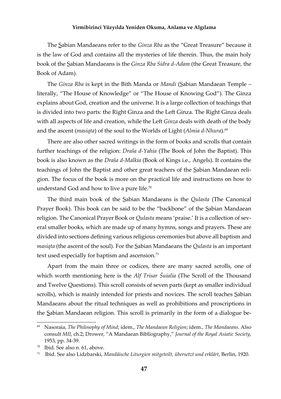The Sabian Mandaeans refer to the *Ginza Rba* as the "Great Treasure" because it is the law of God and contains all the mysteries of life therein. Thus, the main holy book of the Sabian Mandaeans is the *Ginza Rba Sidra d-Adam* (the Great Treasure, the Book of Adam).

The *Ginza Rba* is kept in the Bith Manda or *Mandi* (Sabian Mandaean Temple – literally, "The House of Knowledge" or "The House of Knowing God"). The Ginza explains about God, creation and the universe. It is a large collection of teachings that is divided into two parts: the Right Ginza and the Left Ginza. The Right Ginza deals with all aspects of life and creation, while the Left Ginza deals with death of the body and the ascent (*masiqta*) of the soul to the Worlds of Light (*Almia d-Nhura*).<sup>69</sup>

There are also other sacred writings in the form of books and scrolls that contain further teachings of the religion: *Draša d-Yahia* (The Book of John the Baptist). This book is also known as the *Draša d-Malkia* (Book of Kings i.e., Angels). It contains the teachings of John the Baptist and other great teachers of the Sabian Mandaean religion. The focus of the book is more on the practical life and instructions on how to understand God and how to live a pure life.<sup>70</sup>

The third main book of the Sabian Mandaeans is the *Qulasta* (The Canonical Prayer Book). This book can be said to be the "backbone" of the Sabian Mandaean religion. The Canonical Prayer Book or *Qulasta* means 'praise.' It is a collection of several smaller books, which are made up of many hymns, songs and prayers. These are divided into sections defining various religious ceremonies but above all baptism and *masiqta* (the ascent of the soul). For the Sabian Mandaeans the *Qulasta* is an important text used especially for baptism and ascension.<sup>71</sup>

Apart from the main three or codices, there are many sacred scrolls, one of which worth mentioning here is the *Alf Trisar Šuialia* (The Scroll of the Thousand and Twelve Questions). This scroll consists of seven parts (kept as smaller individual scrolls), which is mainly intended for priests and novices. The scroll teaches Sabian Mandaeans about the ritual techniques as well as prohibitions and proscriptions in the Sabian Mandaean religion. This scroll is primarily in the form of a dialogue be-

<sup>69</sup>Nasoraia, *The Philosophy of Mind*; idem., *The Mandaean Religion*; idem., *The Mandaeans*. Also consult *MII*, ch.2; Drower, "A Mandaean Bibliography," *Journal of the Royal Asiatic Society*, 1953, pp. 34-39.

Ibid. See also n. 61, above.

<sup>71</sup> Ibid. See also Lidzbarski, *Mandäische Liturgien mitgeteilt, übersetzt und erklärt*, Berlin, 1920.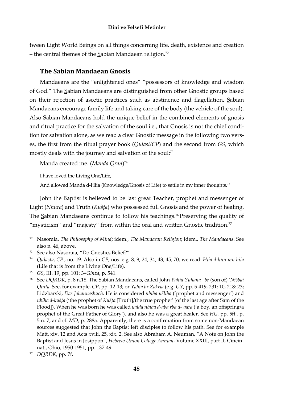tween Light World Beings on all things concerning life, death, existence and creation - the central themes of the Sabian Mandaean religion.<sup>72</sup>

## **The Sabian Mandaean Gnosis**

Mandaeans are the "enlightened ones" "possessors of knowledge and wisdom of God." The Sabian Mandaeans are distinguished from other Gnostic groups based on their rejection of ascetic practices such as abstinence and flagellation. Sabian Mandaeans encourage family life and taking care of the body (the vehicle of the soul). Also Sabian Mandaeans hold the unique belief in the combined elements of gnosis and ritual practice for the salvation of the soul i.e., that Gnosis is not the chief condition for salvation alone, as we read a clear Gnostic message in the following two verses, the first from the ritual prayer book (Qulast/CP) and the second from GS, which mostly deals with the journey and salvation of the soul:73

Manda created me. (Manda Qran)<sup>74</sup>

I have loved the Living One/Life,

And allowed Manda d-Hiia (Knowledge/Gnosis of Life) to settle in my inner thoughts.<sup>75</sup>

John the Baptist is believed to be last great Teacher, prophet and messenger of Light (Nhura) and Truth (Kušta) who possessed full Gnosis and the power of healing. The Sabian Mandaeans continue to follow his teachings.<sup>76</sup> Preserving the quality of "mysticism" and "majesty" from within the oral and written Gnostic tradition.<sup>77</sup>

<sup>&</sup>lt;sup>72</sup> Nasoraia, The Philosophy of Mind; idem., The Mandaean Religion; idem., The Mandaeans. See also n. 46, above.

See also Nasoraia, "Do Gnostics Belief?"

<sup>74</sup> Qulasta, CP., no. 19. Also in CP, nos. e.g. 8, 9, 24, 34, 43, 45, 70, we read: Hiia d-hun mn hiia (Life that is from the Living One/Life).

<sup>&</sup>lt;sup>75</sup> GS, III. 19, pp. 101: 3=Ginza, p. 541.

See DQRDK, p. 8 n.18. The Sabian Mandaeans, called John Yahia Yuhana -br (son of) 'Nišbai Qinta. See, for example, CP, pp. 12-13; or Yahia br Zakria (e.g. GY, pp. 5-419, 231: 10, 218: 23; Lidzbarski, Das Johannesbuch. He is considered nbiha ušliha ('prophet and messenger') and nbiha d-kušța ('the prophet of Kušța [Truth]/the true prophet' [of the last age after Sam of the Flood]). When he was born he was called *yalda nbiha d-aba rba d-'qara* ('a boy, an offspring/a prophet of the Great Father of Glory'), and also he was a great healer. See HG, pp. 5ff., p. 5 n. 7; and cf. MD, p. 288a. Apparently, there is a confirmation from some non-Mandaean sources suggested that John the Baptist left disciples to follow his path. See for example Matt. xiv. 12 and Acts xviii. 25, xix. 2. See also Abraham A. Neuman, "A Note on John the Baptist and Jesus in Josippon", Hebrew Union College Annual, Volume XXIII, part II, Cincinnati, Ohio, 1950-1951, pp. 137-49.

<sup>&</sup>lt;sup>77</sup> DQRDK, pp. 7f.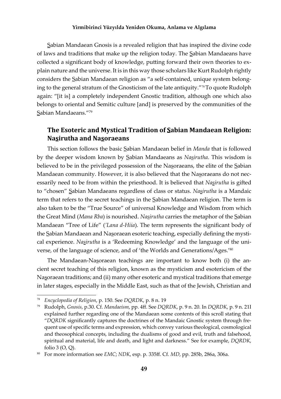Sabian Mandaean Gnosis is a revealed religion that has inspired the divine code of laws and traditions that make up the religion today. The Sabian Mandaeans have collected a significant body of knowledge, putting forward their own theories to explain nature and the universe. It is in this way those scholars like Kurt Rudolph rightly considers the Sabian Mandaean religion as "a self-contained, unique system belonging to the general stratum of the Gnosticism of the late antiquity."<sup>78</sup>To quote Rudolph again: "[it is] a completely independent Gnostic tradition, although one which also belongs to oriental and Semitic culture [and] is preserved by the communities of the Sabian Mandaeans."79

# **The Esoteric and Mystical Tradition of Sabian Mandaean Religion: Nasirutha and Nasoraeans**

This section follows the basic Sabian Mandaean belief in *Manda* that is followed by the deeper wisdom known by Sabian Mandaeans as *Nasirutha*. This wisdom is believed to be in the privileged possession of the Nasoraeans, the elite of the Sabian Mandaean community. However, it is also believed that the Nasoraeans do not necessarily need to be from within the priesthood. It is believed that *Nasirutha* is gifted to "chosen" Sabian Mandaeans regardless of class or status. *Nasirutha* is a Mandaic term that refers to the secret teachings in the Sabian Mandaean religion. The term is also taken to be the "True Source" of universal Knowledge and Wisdom from which the Great Mind (*Mana Rba*) is nourished. *Nasirutha* carries the metaphor of the Sabian Mandaean "Tree of Life" ('Lana d-Hiia). The term represents the significant body of the Sabian Mandaean and Nasoraean esoteric teaching, especially defining the mystical experience. *Nasirutha* is a 'Redeeming Knowledge' and the language of the universe, of the language of science, and of 'the Worlds and Generations/Ages.'80

The Mandaean-Nasoraean teachings are important to know both (i) the ancient secret teaching of this religion, known as the mysticism and esotericism of the Nasoraean traditions; and (ii) many other esoteric and mystical traditions that emerge in later stages, especially in the Middle East, such as that of the Jewish, Christian and

<sup>78</sup>*Encyclopedia of Religion*, p. 150. See *DQRDK*, p. 8 n. 19

<sup>79</sup>Rudolph, *Gnosis*, p.30. Cf. *Mandaeism*, pp. 4ě. See *DQRDK*, p. 9 n. 20. In *DQRDK*, p. 9 n. 21I explained further regarding one of the Mandaean some contents of this scroll stating that "DQRDK significantly captures the doctrines of the Mandaic Gnostic system through frequent use of specific terms and expression, which convey various theological, cosmological and theosophical concepts, including the dualisms of good and evil, truth and falsehood, spiritual and material, life and death, and light and darkness." See for example, *DQRDK*, folio 3 (O, Q).

<sup>80</sup> For more information see *EMC*; *NDK*, esp. p. 335ě. Cf. *MD*, pp. 285b, 286a, 306a.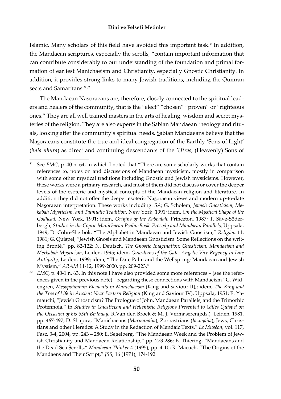Islamic. Many scholars of this field have avoided this important task.<sup>81</sup> In addition, the Mandaean scriptures, especially the scrolls, "contain important information that can contribute considerably to our understanding of the foundation and primal formation of earliest Manichaeism and Christianity, especially Gnostic Christianity. In addition, it provides strong links to many Jewish traditions, including the Qumran sects and Samaritans."82

The Mandaean Nasoraeans are, therefore, closely connected to the spiritual leaders and healers of the community, that is the "elect" "chosen" "proven" or "righteous ones." They are all well trained masters in the arts of healing, wisdom and secret mysteries of the religion. They are also experts in the Sabian Mandaean theology and rituals, looking after the community's spiritual needs. Sabian Mandaeans believe that the Nasoraeans constitute the true and ideal congregation of the Earthly 'Sons of Light' (*bnia nhura*) as direct and continuing descendants of the *'Utras*, (Heavenly) Sons of

<sup>&</sup>lt;sup>81</sup> See *EMC*, p. 40 n. 64, in which I noted that "There are some scholarly works that contain references to, notes on and discussions of Mandaean mysticism, mostly in comparison with some other mystical traditions including Gnostic and Jewish mysticisms. However, these works were a primary research, and most of them did not discuss or cover the deeper levels of the esoteric and mystical concepts of the Mandaean religion and literature. In addition they did not offer the deeper esoteric Nasoraean views and modern up-to-date Nasoraean interpretation. These works including: *SA*; G. Scholem, *Jewish Gnosticism, Mekabah Mysticism, and Talmudic Tradition*, New York, 1991; idem, *On the Mystical Shape of the Godhead*, New York, 1991; idem, *Origins of the Kabbalah*, Princeton, 1987; T. Säve-Söderbergh, *Studies in the Coptic Manichaean Psalm-Book: Prosody and Mandaean Parallels*, Uppsala, 1949; D. Cohn-Sherbok, "The Alphabet in Mandaean and Jewish Gnostism," *Religion* 11, 1981; G. Quispel, "Jewish Gnosis and Mandaean Gnosticism: Some Reflections on the writing Brontè," pp. 82-122; N. Deutsch, *The Gnostic Imagination: Gnosticism, Mandaeism and Merkabah Mysticism*, Leiden, 1995; idem, *Guardians of the Gate: Angelic Vice Regency in Late Antiquity*, Leiden, 1999; idem, "The Date Palm and the Wellspring: Mandaean and Jewish Mystism," *ARAM* 11-12, 1999-2000, pp. 209-223."

<sup>&</sup>lt;sup>82</sup> *EMC*, p. 40-1 n. 63. In this note I have also provided some more references – (see the references given in the previous note) – regarding these connections with Mandaeism "G. Widengren, *Mesopotamian Elements in Manichaeism* (King and saviour II),; idem, *The King and the Tree of Life in Ancient Near Eastern Religion* (King and Saviour IV), Uppsala, 1951; E. Yamauchi, "Jewish Gnosticism? The Prologue of John, Mandaean Parallels, and the Trimorhic Protennoia," in *Studies in Gnosticism and Hellenistic Religions Presented to Gilles Quispel on the Occasion of his 65th Birthday*, R.Van den Broek & M. J. Vermaseren(eds.), Leiden, 1981, pp. 467-497; D. Shapira, "Manichaeans (*Marmanaiia*), Zoroastrians (*Iazuqaiia*), Jews, Christians and other Heretics: A Study in the Redaction of Mandaic Texts," *Le Muséon*, vol. 117, Fasc. 3-4, 2004, pp. 243 – 280; E. Segelberg, "The Mandaean Week and the Problem of Jewish Christianity and Mandaean Relationship," pp. 273-286; B. Thiering, "Mandaeans and the Dead Sea Scrolls," *Mandaean Thinker* 4 (1995), pp. 4-10; R. Macuch, "The Origins of the Mandaens and Their Script," *JSS*, 16 (1971), 174-192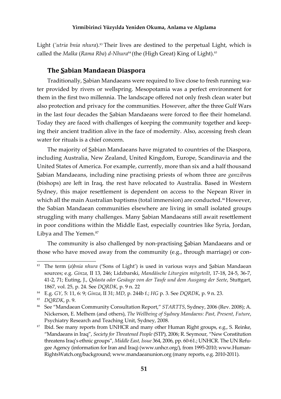Light *('utria bnia nhura*).<sup>83</sup> Their lives are destined to the perpetual Light, which is called the *Malka* (*Rama Rba*) *d-Nhura*<sup>84</sup> (the (High Great) King of Light).<sup>85</sup>

#### **The Sabian Mandaean Diaspora**

Traditionally, Sabian Mandaeans were required to live close to fresh running water provided by rivers or wellspring. Mesopotamia was a perfect environment for them in the first two millennia. The landscape offered not only fresh clean water but also protection and privacy for the communities. However, after the three Gulf Wars in the last four decades the Sabian Mandaeans were forced to flee their homeland. Today they are faced with challenges of keeping the community together and keeping their ancient tradition alive in the face of modernity. Also, accessing fresh clean water for rituals is a chief concern.

The majority of Sabian Mandaeans have migrated to countries of the Diaspora, including Australia, New Zealand, United Kingdom, Europe, Scandinavia and the United States of America. For example, currently, more than six and a half thousand Sabian Mandaeans, including nine practising priests of whom three are *ganzibra*s (bishops) are left in Iraq, the rest have relocated to Australia. Based in Western Sydney, this major resettlement is dependent on access to the Nepean River in which all the main Australian baptisms (total immersion) are conducted.<sup>86</sup>However, the Sabian Mandaean communities elsewhere are living in small isolated groups struggling with many challenges. Many Sabian Mandaeans still await resettlement in poor conditions within the Middle East, especially countries like Syria, Jordan, Libya and The Yemen.<sup>87</sup>

The community is also challenged by non-practising Sabian Mandaeans and or those who have moved away from the community (e.g., through marriage) or con-

<sup>83</sup> The term (*a*)*bnia nhura* ('Sons of Light') is used in various ways and Sabian Mandaean sources; e.g. *Ginza*, II 13, 246; Lidzbarski, *Mandäische Liturgien mitgeteilt*, 17-18, 24-5, 36-7, 41-2, 71; Euting, J., Qolasta oder Gesäuge von der Taufe und dem Ausgang der Seete, Stuttgart, 1867, vol. 25, p. 24. See *DQRDK*, p. 9 n. 22

<sup>84</sup>E.g. *GY*, 5: 11, 6: 9; *Ginza*, II 31; *MD*, p. 244b f.; *HG* p. 3. See *DQRDK*, p. 9 n. 23.

<sup>85</sup>*DQRDK*, p. 9.

<sup>&</sup>lt;sup>86</sup> See "Mandaean Community Consultation Report," *STARTTS*, Sydney, 2006 (Rev. 2008); A. Nickerson, E. Melhem (and others), *The Wellbeing of Sydney Mandaens: Past, Present, Future*, Psychiatry Research and Teaching Unit, Sydney, 2008.

<sup>&</sup>lt;sup>87</sup> Ibid. See many reports from UNHCR and many other Human Right groups, e.g., S. Reinke, "Mandaeans in Iraq", *Society for Threatened People* (STP), 2006; R. Seymour, "New Constitution threatens Iraq's ethnic groups", *Middle East, Issue* 364, 2006, pp. 60-61.; UNHCR. The UN Refugee Agency (information for Iran and Iraq) (www.unhcr.org/), from 1995-2010; www.Human-RightsWatch.org/background; www.mandaeanunion.org (many reports, e.g. 2010-2011).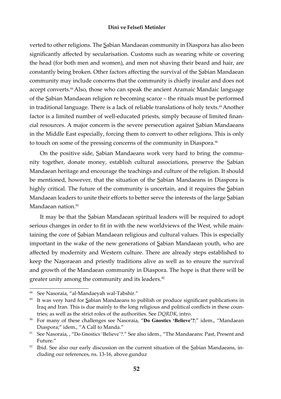verted to other religions. The Sabian Mandaean community in Diaspora has also been significantly affected by secularisation. Customs such as wearing white or covering the head (for both men and women), and men not shaving their beard and hair, are constantly being broken. Other factors affecting the survival of the Sabian Mandaean community may include concerns that the community is chiefly insular and does not accept converts.<sup>88</sup> Also, those who can speak the ancient Aramaic Mandaic language of the Sabian Mandaean religion re becoming scarce – the rituals must be performed in traditional language. There is a lack of reliable translations of holy texts.<sup>89</sup> Another factor is a limited number of well-educated priests, simply because of limited financial resources. A major concern is the severe persecution against Sabian Mandaeans in the Middle East especially, forcing them to convert to other religions. This is only to touch on some of the pressing concerns of the community in Diaspora.<sup>90</sup>

On the positive side, Sabian Mandaeans work very hard to bring the community together, donate money, establish cultural associations, preserve the Sabian Mandaean heritage and encourage the teachings and culture of the religion. It should be mentioned, however, that the situation of the Sabian Mandaeans in Diaspora is highly critical. The future of the community is uncertain, and it requires the Sabian Mandaean leaders to unite their efforts to better serve the interests of the large Sabian Mandaean nation $91$ 

It may be that the Sabian Mandaean spiritual leaders will be required to adopt serious changes in order to fit in with the new worldviews of the West, while maintaining the core of Sabian Mandaean religious and cultural values. This is especially important in the wake of the new generations of Sabian Mandaean youth, who are affected by modernity and Western culture. There are already steps established to keep the Nasoraean and priestly traditions alive as well as to ensure the survival and growth of the Mandaean community in Diaspora. The hope is that there will be greater unity among the community and its leaders.<sup>92</sup>

<sup>88</sup> See Nasoraia, "al-Mandaeyah wal-Tabshir."

<sup>&</sup>lt;sup>89</sup> It was very hard for Sabian Mandaeans to publish or produce significant publications in Iraq and Iran. This is due mainly to the long religious and political conflicts in these countries; as well as the strict roles of the authorities. See *DQRDK*, intro.

<sup>&</sup>lt;sup>90</sup> For many of these challenges see Nasoraia, "Do Gnostics 'Believe'?;" idem., "Mandaean Diaspora;" idem., "A Call to Manda."

<sup>&</sup>lt;sup>91</sup> See Nasoraia, , "Do Gnostics 'Believe'?." See also idem., "The Mandaeans: Past, Present and Future."

 $92$  Ibid. See also our early discussion on the current situation of the Sabian Mandaeans, including our references, ns. 13-16, above.gunduz